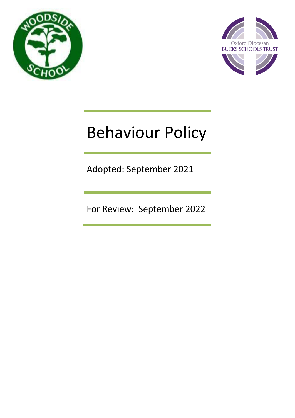



# Behaviour Policy

Adopted: September 2021

For Review: September 2022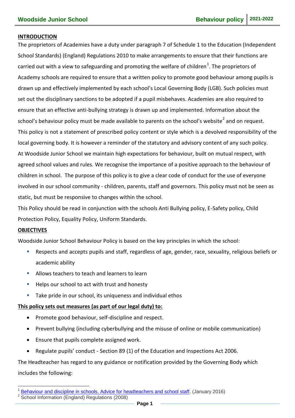#### **INTRODUCTION**

The proprietors of Academies have a duty under paragraph 7 of Schedule 1 to the Education (Independent School Standards) (England) Regulations 2010 to make arrangements to ensure that their functions are carried out with a view to safeguarding and promoting the welfare of children<sup>1</sup>. The proprietors of Academy schools are required to ensure that a written policy to promote good behaviour among pupils is drawn up and effectively implemented by each school's Local Governing Body (LGB). Such policies must set out the disciplinary sanctions to be adopted if a pupil misbehaves. Academies are also required to ensure that an effective anti-bullying strategy is drawn up and implemented. Information about the school's behaviour policy must be made available to parents on the school's website<sup>2</sup> and on request. This policy is not a statement of prescribed policy content or style which is a devolved responsibility of the local governing body. It is however a reminder of the statutory and advisory content of any such policy. At Woodside Junior School we maintain high expectations for behaviour, built on mutual respect, with agreed school values and rules. We recognise the importance of a positive approach to the behaviour of children in school. The purpose of this policy is to give a clear code of conduct for the use of everyone involved in our school community - children, parents, staff and governors. This policy must not be seen as static, but must be responsive to changes within the school.

This Policy should be read in conjunction with the schools Anti Bullying policy, E-Safety policy, Child Protection Policy, Equality Policy, Uniform Standards.

#### **OBJECTIVES**

<u>.</u>

Woodside Junior School Behaviour Policy is based on the key principles in which the school:

- Respects and accepts pupils and staff, regardless of age, gender, race, sexuality, religious beliefs or academic ability
- Allows teachers to teach and learners to learn
- Helps our school to act with trust and honesty
- Take pride in our school, its uniqueness and individual ethos

#### **This policy sets out measures (as part of our legal duty) to:**

- Promote good behaviour, self-discipline and respect.
- Prevent bullying (including cyberbullying and the misuse of online or mobile communication)
- Ensure that pupils complete assigned work.
- Regulate pupils' conduct Section 89 (1) of the Education and Inspections Act 2006.

The Headteacher has regard to any guidance or notification provided by the Governing Body which includes the following:

<sup>1</sup> [Behaviour and discipline in schools. Advice for headteachers and school staff.](https://www.gov.uk/government/uploads/system/uploads/attachment_data/file/488034/Behaviour_and_Discipline_in_Schools_-_A_guide_for_headteachers_and_School_Staff.pdf) (January 2016) 2

School Information (England) Regulations (2008)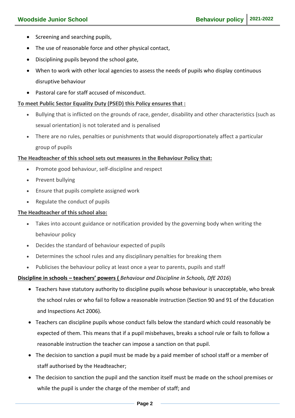- Screening and searching pupils,
- The use of reasonable force and other physical contact,
- Disciplining pupils beyond the school gate,
- When to work with other local agencies to assess the needs of pupils who display continuous disruptive behaviour
- Pastoral care for staff accused of misconduct.

### **To meet Public Sector Equality Duty (PSED) this Policy ensures that :**

- Bullying that is inflicted on the grounds of race, gender, disability and other characteristics (such as sexual orientation) is not tolerated and is penalised
- There are no rules, penalties or punishments that would disproportionately affect a particular group of pupils

#### **The Headteacher of this school sets out measures in the Behaviour Policy that:**

- Promote good behaviour, self-discipline and respect
- Prevent bullying
- Ensure that pupils complete assigned work
- Regulate the conduct of pupils

### **The Headteacher of this school also:**

- Takes into account guidance or notification provided by the governing body when writing the behaviour policy
- Decides the standard of behaviour expected of pupils
- Determines the school rules and any disciplinary penalties for breaking them
- Publicises the behaviour policy at least once a year to parents, pupils and staff

### **Discipline in schools – teachers' powers (** *Behaviour and Discipline in Schools, DfE 2016*)

- Teachers have statutory authority to discipline pupils whose behaviour is unacceptable, who break the school rules or who fail to follow a reasonable instruction (Section 90 and 91 of the Education and Inspections Act 2006).
- Teachers can discipline pupils whose conduct falls below the standard which could reasonably be expected of them. This means that if a pupil misbehaves, breaks a school rule or fails to follow a reasonable instruction the teacher can impose a sanction on that pupil.
- The decision to sanction a pupil must be made by a paid member of school staff or a member of staff authorised by the Headteacher;
- The decision to sanction the pupil and the sanction itself must be made on the school premises or while the pupil is under the charge of the member of staff; and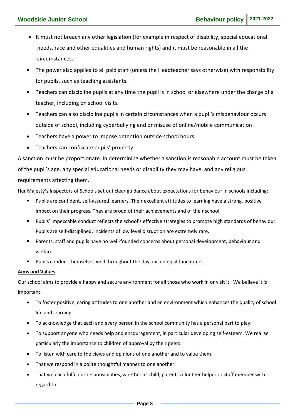- It must not breach any other legislation (for example in respect of disability, special educational needs, race and other equalities and human rights) and it must be reasonable in all the circumstances.
- The power also applies to all paid staff (unless the Headteacher says otherwise) with responsibility for pupils, such as teaching assistants.
- Teachers can discipline pupils at any time the pupil is in school or elsewhere under the charge of a teacher, including on school visits.
- Teachers can also discipline pupils in certain circumstances when a pupil's misbehaviour occurs outside of school, including cyberbullying and or misuse of online/mobile communication
- Teachers have a power to impose detention outside school hours.
- Teachers can confiscate pupils' property.

A sanction must be proportionate. In determining whether a sanction is reasonable account must be taken of the pupil's age, any special educational needs or disability they may have, and any religious requirements affecting them.

Her Majesty's Inspectors of Schools set out clear guidance about expectations for behaviour in schools including:

- Pupils are confident, self-assured learners. Their excellent attitudes to learning have a strong, positive impact on their progress. They are proud of their achievements and of their school.
- Pupils' impeccable conduct reflects the school's effective strategies to promote high standards of behaviour. Pupils are self-disciplined. Incidents of low level disruption are extremely rare.
- Parents, staff and pupils have no well-founded concerns about personal development, behaviour and welfare.
- **Pupils conduct themselves well throughout the day, including at lunchtimes.**

#### **Aims and Values**

Our school aims to provide a happy and secure environment for all those who work in or visit it. We believe it is important:

- To foster positive, caring attitudes to one another and an environment which enhances the quality of school life and learning.
- To acknowledge that each and every person in the school community has a personal part to play.
- To support anyone who needs help and encouragement, in particular developing self-esteem. We realise particularly the importance to children of approval by their peers.
- To listen with care to the views and opinions of one another and to value them.
- That we respond in a polite thoughtful manner to one another.
- That we each fulfil our responsibilities, whether as child, parent, volunteer helper or staff member with regard to: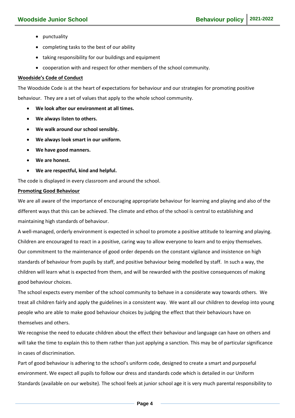- punctuality
- completing tasks to the best of our ability
- taking responsibility for our buildings and equipment
- cooperation with and respect for other members of the school community.

#### **Woodside's Code of Conduct**

The Woodside Code is at the heart of expectations for behaviour and our strategies for promoting positive behaviour. They are a set of values that apply to the whole school community.

- **We look after our environment at all times.**
- **We always listen to others.**
- **We walk around our school sensibly.**
- **We always look smart in our uniform.**
- **We have good manners.**
- **We are honest.**
- **We are respectful, kind and helpful.**

The code is displayed in every classroom and around the school.

#### **Promoting Good Behaviour**

We are all aware of the importance of encouraging appropriate behaviour for learning and playing and also of the different ways that this can be achieved. The climate and ethos of the school is central to establishing and maintaining high standards of behaviour.

A well-managed, orderly environment is expected in school to promote a positive attitude to learning and playing. Children are encouraged to react in a positive, caring way to allow everyone to learn and to enjoy themselves. Our commitment to the maintenance of good order depends on the constant vigilance and insistence on high standards of behaviour from pupils by staff, and positive behaviour being modelled by staff. In such a way, the children will learn what is expected from them, and will be rewarded with the positive consequences of making good behaviour choices.

The school expects every member of the school community to behave in a considerate way towards others. We treat all children fairly and apply the guidelines in a consistent way. We want all our children to develop into young people who are able to make good behaviour choices by judging the effect that their behaviours have on themselves and others.

We recognise the need to educate children about the effect their behaviour and language can have on others and will take the time to explain this to them rather than just applying a sanction. This may be of particular significance in cases of discrimination.

Part of good behaviour is adhering to the school's uniform code, designed to create a smart and purposeful environment. We expect all pupils to follow our dress and standards code which is detailed in our Uniform Standards (available on our website). The school feels at junior school age it is very much parental responsibility to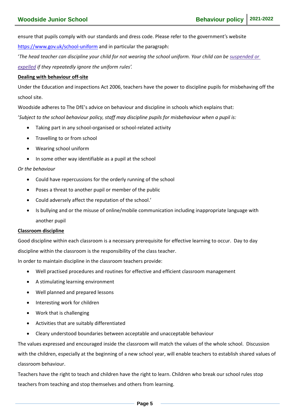ensure that pupils comply with our standards and dress code. Please refer to the government's website

<https://www.gov.uk/school-uniform> and in particular the paragraph:

'*The head teacher can discipline your child for not wearing the school uniform. Your child can be [suspended](https://www.gov.uk/school-discipline-exclusions/exclusions) or [expelled](https://www.gov.uk/school-discipline-exclusions/exclusions) if they repeatedly ignore the uniform rules'.*

#### **Dealing with behaviour off-site**

Under the Education and inspections Act 2006, teachers have the power to discipline pupils for misbehaving off the school site.

Woodside adheres to The DfE's advice on behaviour and discipline in schools which explains that:

'*Subject to the school behaviour policy, staff may discipline pupils for misbehaviour when a pupil is:*

- Taking part in any school-organised or school-related activity
- Travelling to or from school
- Wearing school uniform
- In some other way identifiable as a pupil at the school

#### *Or the behaviour*

- Could have repercussions for the orderly running of the school
- Poses a threat to another pupil or member of the public
- Could adversely affect the reputation of the school.'
- Is bullying and or the misuse of online/mobile communication including inappropriate language with another pupil

#### **Classroom discipline**

Good discipline within each classroom is a necessary prerequisite for effective learning to occur. Day to day discipline within the classroom is the responsibility of the class teacher.

In order to maintain discipline in the classroom teachers provide:

- Well practised procedures and routines for effective and efficient classroom management
- A stimulating learning environment
- Well planned and prepared lessons
- Interesting work for children
- Work that is challenging
- Activities that are suitably differentiated
- Cleary understood boundaries between acceptable and unacceptable behaviour

The values expressed and encouraged inside the classroom will match the values of the whole school. Discussion with the children, especially at the beginning of a new school year, will enable teachers to establish shared values of classroom behaviour.

Teachers have the right to teach and children have the right to learn. Children who break our school rules stop teachers from teaching and stop themselves and others from learning.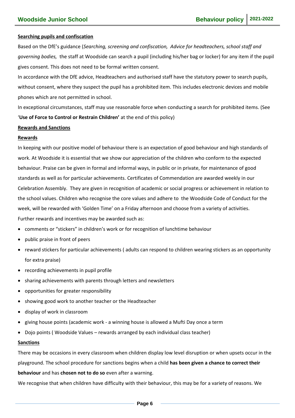#### **Searching pupils and confiscation**

Based on the DfE's guidance (*Searching, screening and confiscation, Advice for headteachers, school staff and governing bodies,* the staff at Woodside can search a pupil (including his/her bag or locker) for any item if the pupil gives consent. This does not need to be formal written consent.

In accordance with the DfE advice, Headteachers and authorised staff have the statutory power to search pupils, without consent, where they suspect the pupil has a prohibited item. This includes electronic devices and mobile phones which are not permitted in school.

In exceptional circumstances, staff may use reasonable force when conducting a search for prohibited items. (See '**Use of Force to Control or Restrain Children'** at the end of this policy)

#### **Rewards and Sanctions**

#### **Rewards**

In keeping with our positive model of behaviour there is an expectation of good behaviour and high standards of work. At Woodside it is essential that we show our appreciation of the children who conform to the expected behaviour. Praise can be given in formal and informal ways, in public or in private, for maintenance of good standards as well as for particular achievements. Certificates of Commendation are awarded weekly in our Celebration Assembly. They are given in recognition of academic or social progress or achievement in relation to the school values. Children who recognise the core values and adhere to the Woodside Code of Conduct for the week, will be rewarded with 'Golden Time' on a Friday afternoon and choose from a variety of activities. Further rewards and incentives may be awarded such as:

- comments or "stickers" in children's work or for recognition of lunchtime behaviour
- public praise in front of peers
- reward stickers for particular achievements ( adults can respond to children wearing stickers as an opportunity for extra praise)
- recording achievements in pupil profile
- sharing achievements with parents through letters and newsletters
- opportunities for greater responsibility
- showing good work to another teacher or the Headteacher
- display of work in classroom
- giving house points (academic work a winning house is allowed a Mufti Day once a term
- Dojo points ( Woodside Values rewards arranged by each individual class teacher)

#### **Sanctions**

There may be occasions in every classroom when children display low level disruption or when upsets occur in the

playground. The school procedure for sanctions begins when a child **has been given a chance to correct their behaviour** and has **chosen not to do so** even after a warning.

We recognise that when children have difficulty with their behaviour, this may be for a variety of reasons. We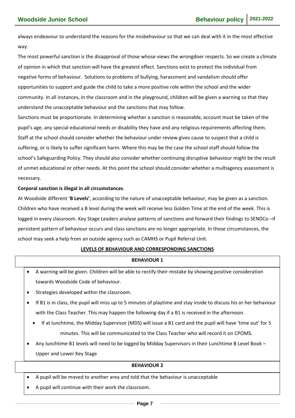always endeavour to understand the reasons for the misbehaviour so that we can deal with it in the most effective way.

The most powerful sanction is the disapproval of those whose views the wrongdoer respects. So we create a climate of opinion in which that sanction will have the greatest effect. Sanctions exist to protect the individual from negative forms of behaviour. Solutions to problems of bullying, harassment and vandalism should offer opportunities to support and guide the child to take a more positive role within the school and the wider community. In all instances, in the classroom and in the playground, children will be given a warning so that they understand the unacceptable behaviour and the sanctions that may follow.

Sanctions must be proportionate. In determining whether a sanction is reasonable, account must be taken of the pupil's age, any special educational needs or disability they have and any religious requirements affecting them. Staff at the school should consider whether the behaviour under review gives cause to suspect that a child is suffering, or is likely to suffer significant harm. Where this may be the case the school staff should follow the school's Safeguarding Policy. They should also consider whether continuing disruptive behaviour might be the result of unmet educational or other needs. At this point the school should consider whether a multiagency assessment is necessary.

#### **Corporal sanction is illegal in all circumstances**.

At Woodside different '**B Levels'**, according to the nature of unacceptable behaviour, may be given as a sanction. Children who have received a B level during the week will receive less Golden Time at the end of the week. This is logged in every classroom. Key Stage Leaders analyse patterns of sanctions and forward their findings to SENDCo –if persistent pattern of behaviour occurs and class sanctions are no longer appropriate. In those circumstances, the school may seek a help from an outside agency such as CAMHS or Pupil Referral Unit.

#### **LEVELS OF BEHAVIOUR AND CORRESPONDING SANCTIONS**

| <b>BEHAVIOUR 1</b>                                                                                                 |  |  |  |  |
|--------------------------------------------------------------------------------------------------------------------|--|--|--|--|
| A warning will be given. Children will be able to rectify their mistake by showing positive consideration          |  |  |  |  |
| towards Woodside Code of behaviour.                                                                                |  |  |  |  |
| Strategies developed within the classroom.                                                                         |  |  |  |  |
| If B1 is in class, the pupil will miss up to 5 minutes of playtime and stay inside to discuss his or her behaviour |  |  |  |  |

- with the Class Teacher. This may happen the following day if a B1 is received in the afternoon.
- If at lunchtime, the Midday Supervisor (MDS) will issue a B1 card and the pupil will have 'time out' for 5 minutes. This will be communicated to the Class Teacher who will record it on CPOMS.
- Any lunchtime B1 levels will need to be logged by Midday Supervisors in their Lunchtime B Level Book Upper and Lower Key Stage

#### **BEHAVIOUR 2**

- A pupil will be moved to another area and told that the behaviour is unacceptable
- A pupil will continue with their work the classroom.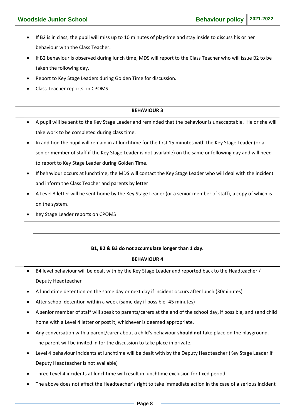- If B2 is in class, the pupil will miss up to 10 minutes of playtime and stay inside to discuss his or her behaviour with the Class Teacher.
- If B2 behaviour is observed during lunch time, MDS will report to the Class Teacher who will issue B2 to be taken the following day.
- Report to Key Stage Leaders during Golden Time for discussion.
- Class Teacher reports on CPOMS

## **BEHAVIOUR 3** A pupil will be sent to the Key Stage Leader and reminded that the behaviour is unacceptable. He or she will take work to be completed during class time. In addition the pupil will remain in at lunchtime for the first 15 minutes with the Key Stage Leader (or a senior member of staff if the Key Stage Leader is not available) on the same or following day and will need to report to Key Stage Leader during Golden Time. If behaviour occurs at lunchtime, the MDS will contact the Key Stage Leader who will deal with the incident and inform the Class Teacher and parents by letter

- A Level 3 letter will be sent home by the Key Stage Leader (or a senior member of staff), a copy of which is on the system.
- Key Stage Leader reports on CPOMS

### **B1, B2 & B3 do not accumulate longer than 1 day.**

#### **BEHAVIOUR 4**

- B4 level behaviour will be dealt with by the Key Stage Leader and reported back to the Headteacher / Deputy Headteacher
- A lunchtime detention on the same day or next day if incident occurs after lunch (30minutes)
- After school detention within a week (same day if possible -45 minutes)
- A senior member of staff will speak to parents/carers at the end of the school day, if possible, and send child home with a Level 4 letter or post it, whichever is deemed appropriate.
- Any conversation with a parent/carer about a child's behaviour **should not** take place on the playground. The parent will be invited in for the discussion to take place in private.
- Level 4 behaviour incidents at lunchtime will be dealt with by the Deputy Headteacher (Key Stage Leader if Deputy Headteacher is not available)
- Three Level 4 incidents at lunchtime will result in lunchtime exclusion for fixed period.
- The above does not affect the Headteacher's right to take immediate action in the case of a serious incident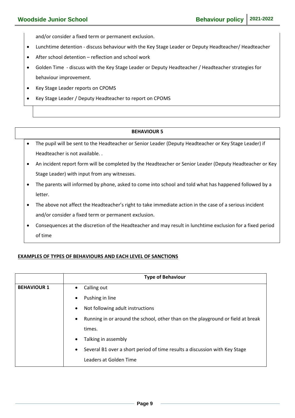and/or consider a fixed term or permanent exclusion.

- Lunchtime detention discuss behaviour with the Key Stage Leader or Deputy Headteacher/ Headteacher
- After school detention reflection and school work
- Golden Time discuss with the Key Stage Leader or Deputy Headteacher / Headteacher strategies for behaviour improvement.
- Key Stage Leader reports on CPOMS
- Key Stage Leader / Deputy Headteacher to report on CPOMS

#### **BEHAVIOUR 5**

- The pupil will be sent to the Headteacher or Senior Leader (Deputy Headteacher or Key Stage Leader) if Headteacher is not available. .
- An incident report form will be completed by the Headteacher or Senior Leader (Deputy Headteacher or Key Stage Leader) with input from any witnesses.
- The parents will informed by phone, asked to come into school and told what has happened followed by a letter.
- The above not affect the Headteacher's right to take immediate action in the case of a serious incident and/or consider a fixed term or permanent exclusion.
- Consequences at the discretion of the Headteacher and may result in lunchtime exclusion for a fixed period of time

#### **EXAMPLES OF TYPES OF BEHAVIOURS AND EACH LEVEL OF SANCTIONS**

|                    | <b>Type of Behaviour</b>                                                                     |
|--------------------|----------------------------------------------------------------------------------------------|
| <b>BEHAVIOUR 1</b> | Calling out<br>$\bullet$                                                                     |
|                    | Pushing in line<br>$\bullet$                                                                 |
|                    | Not following adult instructions<br>$\bullet$                                                |
|                    | Running in or around the school, other than on the playground or field at break<br>$\bullet$ |
|                    | times.                                                                                       |
|                    | Talking in assembly<br>$\bullet$                                                             |
|                    | Several B1 over a short period of time results a discussion with Key Stage<br>$\bullet$      |
|                    | Leaders at Golden Time                                                                       |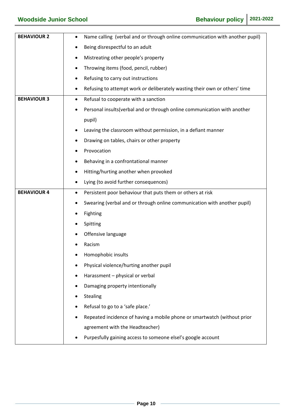| <b>BEHAVIOUR 2</b> | Name calling (verbal and or through online communication with another pupil)<br>٠ |
|--------------------|-----------------------------------------------------------------------------------|
|                    | Being disrespectful to an adult<br>٠                                              |
|                    | Mistreating other people's property<br>٠                                          |
|                    | Throwing items (food, pencil, rubber)<br>٠                                        |
|                    | Refusing to carry out instructions<br>٠                                           |
|                    | Refusing to attempt work or deliberately wasting their own or others' time        |
| <b>BEHAVIOUR 3</b> | Refusal to cooperate with a sanction<br>$\bullet$                                 |
|                    | Personal insults (verbal and or through online communication with another<br>٠    |
|                    | pupil)                                                                            |
|                    | Leaving the classroom without permission, in a defiant manner                     |
|                    | Drawing on tables, chairs or other property                                       |
|                    | Provocation                                                                       |
|                    | Behaving in a confrontational manner<br>٠                                         |
|                    | Hitting/hurting another when provoked<br>٠                                        |
|                    | Lying (to avoid further consequences)                                             |
| <b>BEHAVIOUR 4</b> | Persistent poor behaviour that puts them or others at risk<br>$\bullet$           |
|                    | Swearing (verbal and or through online communication with another pupil)<br>٠     |
|                    | Fighting                                                                          |
|                    | Spitting                                                                          |
|                    | Offensive language                                                                |
|                    | Racism                                                                            |
|                    | Homophobic insults                                                                |
|                    | Physical violence/hurting another pupil                                           |
|                    | Harassment - physical or verbal                                                   |
|                    | Damaging property intentionally                                                   |
|                    | Stealing                                                                          |
|                    | Refusal to go to a 'safe place.'                                                  |
|                    | Repeated incidence of having a mobile phone or smartwatch (without prior          |
|                    | agreement with the Headteacher)                                                   |
|                    | Purpesfully gaining access to someone elsel's google account                      |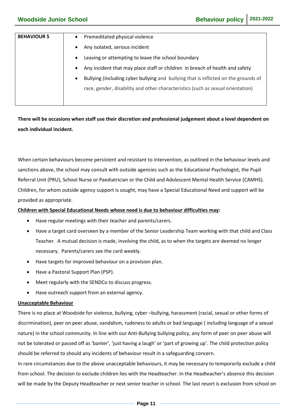| <b>BEHAVIOUR 5</b> | Premeditated physical violence<br>$\bullet$                                                      |
|--------------------|--------------------------------------------------------------------------------------------------|
|                    | Any isolated, serious incident<br>$\bullet$                                                      |
|                    | Leaving or attempting to leave the school boundary<br>$\bullet$                                  |
|                    | Any incident that may place staff or children in breach of health and safety<br>$\bullet$        |
|                    | Bullying (including cyber bullying and bullying that is inflicted on the grounds of<br>$\bullet$ |
|                    | race, gender, disability and other characteristics (such as sexual orientation)                  |
|                    |                                                                                                  |

**There will be occasions when staff use their discretion and professional judgement about a level dependent on each individual incident.**

When certain behaviours become persistent and resistant to intervention, as outlined in the behaviour levels and sanctions above, the school may consult with outside agencies such as the Educational Psychologist, the Pupil Referral Unit (PRU), School Nurse or Paediatrician or the Child and Adolescent Mental Health Service (CAMHS). Children, for whom outside agency support is sought, may have a Special Educational Need and support will be provided as appropriate.

#### **Children with Special Educational Needs whose need is due to behaviour difficulties may:**

- Have regular meetings with their teacher and parents/carers.
- Have a target card overseen by a member of the Senior Leadership Team working with that child and Class Teacher. A mutual decision is made, involving the child, as to when the targets are deemed no longer necessary. Parents/carers see the card weekly.
- Have targets for improved behaviour on a provision plan.
- Have a Pastoral Support Plan (PSP).
- Meet regularly with the SENDCo to discuss progress.
- Have outreach support from an external agency.

#### **Unacceptable Behaviour**

There is no place at Woodside for violence, bullying, cyber –bullying, harassment (racial, sexual or other forms of discrimination), peer on peer abuse, vandalism, rudeness to adults or bad language ( including language of a sexual nature) in the school community. In line with our Anti-Bullying bullying policy, any form of peer on peer abuse will not be tolerated or passed off as 'banter', 'just having a laugh' or 'part of growing up'. The child protection policy should be referred to should any incidents of behaviour result in a safeguarding concern.

In rare circumstances due to the above unacceptable behaviours, it may be necessary to temporarily exclude a child from school. The decision to exclude children lies with the Headteacher. In the Headteacher's absence this decision will be made by the Deputy Headteacher or next senior teacher in school. The last resort is exclusion from school on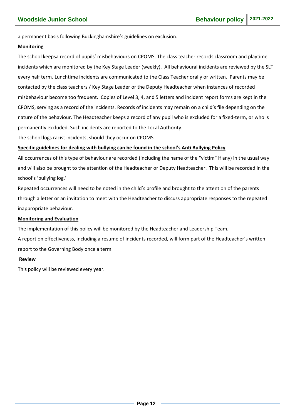a permanent basis following Buckinghamshire's guidelines on exclusion.

#### **Monitoring**

The school keepsa record of pupils' misbehaviours on CPOMS. The class teacher records classroom and playtime incidents which are monitored by the Key Stage Leader (weekly). All behavioural incidents are reviewed by the SLT every half term. Lunchtime incidents are communicated to the Class Teacher orally or written. Parents may be contacted by the class teachers / Key Stage Leader or the Deputy Headteacher when instances of recorded misbehaviour become too frequent. Copies of Level 3, 4, and 5 letters and incident report forms are kept in the CPOMS, serving as a record of the incidents. Records of incidents may remain on a child's file depending on the nature of the behaviour. The Headteacher keeps a record of any pupil who is excluded for a fixed-term, or who is permanently excluded. Such incidents are reported to the Local Authority.

The school logs racist incidents, should they occur on CPOMS

#### **Specific guidelines for dealing with bullying can be found in the school's Anti Bullying Policy**

All occurrences of this type of behaviour are recorded (including the name of the "victim" if any) in the usual way and will also be brought to the attention of the Headteacher or Deputy Headteacher. This will be recorded in the school's 'bullying log.'

Repeated occurrences will need to be noted in the child's profile and brought to the attention of the parents through a letter or an invitation to meet with the Headteacher to discuss appropriate responses to the repeated inappropriate behaviour.

#### **Monitoring and Evaluation**

The implementation of this policy will be monitored by the Headteacher and Leadership Team.

A report on effectiveness, including a resume of incidents recorded, will form part of the Headteacher's written report to the Governing Body once a term.

#### **Review**

This policy will be reviewed every year.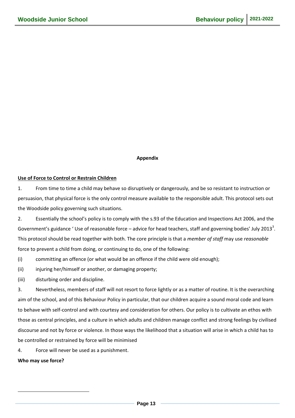#### **Appendix**

#### **Use of Force to Control or Restrain Children**

1. From time to time a child may behave so disruptively or dangerously, and be so resistant to instruction or persuasion, that physical force is the only control measure available to the responsible adult. This protocol sets out the Woodside policy governing such situations.

2. Essentially the school's policy is to comply with the s.93 of the Education and Inspections Act 2006, and the Government's guidance ' Use of reasonable force – advice for head teachers, staff and governing bodies' July 2013<sup>3</sup>. This protocol should be read together with both. The core principle is that a *member of staff* may use *reasonable* force to prevent a child from doing, or continuing to do, one of the following:

(i) committing an offence (or what would be an offence if the child were old enough);

(ii) injuring her/himself or another, or damaging property;

(iii) disturbing order and discipline.

3. Nevertheless, members of staff will not resort to force lightly or as a matter of routine. It is the overarching aim of the school, and of this Behaviour Policy in particular, that our children acquire a sound moral code and learn to behave with self-control and with courtesy and consideration for others. Our policy is to cultivate an ethos with those as central principles, and a culture in which adults and children manage conflict and strong feelings by civilised discourse and not by force or violence. In those ways the likelihood that a situation will arise in which a child has to be controlled or restrained by force will be minimised

4. Force will never be used as a punishment.

**Who may use force?**

1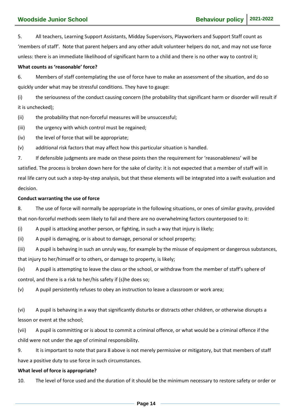5. All teachers, Learning Support Assistants, Midday Supervisors, Playworkers and Support Staff count as 'members of staff'. Note that parent helpers and any other adult volunteer helpers do not, and may not use force unless: there is an immediate likelihood of significant harm to a child and there is no other way to control it;

#### **What counts as 'reasonable' force?**

6. Members of staff contemplating the use of force have to make an assessment of the situation, and do so quickly under what may be stressful conditions. They have to gauge:

(i) the seriousness of the conduct causing concern (the probability that significant harm or disorder will result if it is unchecked);

(ii) the probability that non-forceful measures will be unsuccessful;

(iii) the urgency with which control must be regained;

(iv) the level of force that will be appropriate;

(v) additional risk factors that may affect how this particular situation is handled.

7. If defensible judgments are made on these points then the requirement for 'reasonableness' will be satisfied. The process is broken down here for the sake of clarity: it is not expected that a member of staff will in real life carry out such a step-by-step analysis, but that these elements will be integrated into a swift evaluation and decision.

#### **Conduct warranting the use of force**

8. The use of force will normally be appropriate in the following situations, or ones of similar gravity, provided that non-forceful methods seem likely to fail and there are no overwhelming factors counterposed to it:

(i) A pupil is attacking another person, or fighting, in such a way that injury is likely;

(ii) A pupil is damaging, or is about to damage, personal or school property;

(iii) A pupil is behaving in such an unruly way, for example by the misuse of equipment or dangerous substances, that injury to her/himself or to others, or damage to property, is likely;

(iv) A pupil is attempting to leave the class or the school, or withdraw from the member of staff's sphere of control, and there is a risk to her/his safety if (s)he does so;

(v) A pupil persistently refuses to obey an instruction to leave a classroom or work area;

(vi) A pupil is behaving in a way that significantly disturbs or distracts other children, or otherwise disrupts a lesson or event at the school;

(vii) A pupil is committing or is about to commit a criminal offence, or what would be a criminal offence if the child were not under the age of criminal responsibility.

9. It is important to note that para 8 above is not merely permissive or mitigatory, but that members of staff have a positive duty to use force in such circumstances.

#### **What level of force is appropriate?**

10. The level of force used and the duration of it should be the minimum necessary to restore safety or order or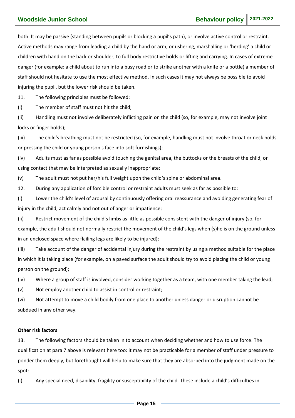both. It may be passive (standing between pupils or blocking a pupil's path), or involve active control or restraint. Active methods may range from leading a child by the hand or arm, or ushering, marshalling or 'herding' a child or children with hand on the back or shoulder, to full body restrictive holds or lifting and carrying. In cases of extreme danger (for example: a child about to run into a busy road or to strike another with a knife or a bottle) a member of staff should not hesitate to use the most effective method. In such cases it may not always be possible to avoid injuring the pupil, but the lower risk should be taken.

11. The following principles must be followed:

(i) The member of staff must not hit the child;

(ii) Handling must not involve deliberately inflicting pain on the child (so, for example, may not involve joint locks or finger holds);

(iii) The child's breathing must not be restricted (so, for example, handling must not involve throat or neck holds or pressing the child or young person's face into soft furnishings);

(iv) Adults must as far as possible avoid touching the genital area, the buttocks or the breasts of the child, or using contact that may be interpreted as sexually inappropriate;

(v) The adult must not put her/his full weight upon the child's spine or abdominal area.

12. During any application of forcible control or restraint adults must seek as far as possible to:

(i) Lower the child's level of arousal by continuously offering oral reassurance and avoiding generating fear of injury in the child; act calmly and not out of anger or impatience;

(ii) Restrict movement of the child's limbs as little as possible consistent with the danger of injury (so, for example, the adult should not normally restrict the movement of the child's legs when (s)he is on the ground unless in an enclosed space where flailing legs are likely to be injured);

(iii) Take account of the danger of accidental injury during the restraint by using a method suitable for the place in which it is taking place (for example, on a paved surface the adult should try to avoid placing the child or young person on the ground);

(iv) Where a group of staff is involved, consider working together as a team, with one member taking the lead;

(v) Not employ another child to assist in control or restraint;

(vi) Not attempt to move a child bodily from one place to another unless danger or disruption cannot be subdued in any other way.

#### **Other risk factors**

13. The following factors should be taken in to account when deciding whether and how to use force. The qualification at para 7 above is relevant here too: it may not be practicable for a member of staff under pressure to ponder them deeply, but forethought will help to make sure that they are absorbed into the judgment made on the spot:

(i) Any special need, disability, fragility or susceptibility of the child. These include a child's difficulties in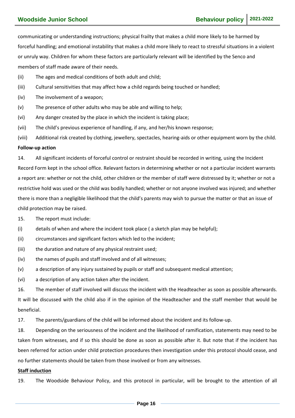communicating or understanding instructions; physical frailty that makes a child more likely to be harmed by forceful handling; and emotional instability that makes a child more likely to react to stressful situations in a violent or unruly way. Children for whom these factors are particularly relevant will be identified by the Senco and members of staff made aware of their needs.

- (ii) The ages and medical conditions of both adult and child;
- (iii) Cultural sensitivities that may affect how a child regards being touched or handled;
- (iv) The involvement of a weapon;
- (v) The presence of other adults who may be able and willing to help;
- (vi) Any danger created by the place in which the incident is taking place;
- (vii) The child's previous experience of handling, if any, and her/his known response;
- (viii) Additional risk created by clothing, jewellery, spectacles, hearing-aids or other equipment worn by the child.

#### **Follow-up action**

14. All significant incidents of forceful control or restraint should be recorded in writing, using the Incident Record Form kept in the school office. Relevant factors in determining whether or not a particular incident warrants a report are: whether or not the child, other children or the member of staff were distressed by it; whether or not a restrictive hold was used or the child was bodily handled; whether or not anyone involved was injured; and whether there is more than a negligible likelihood that the child's parents may wish to pursue the matter or that an issue of child protection may be raised.

15. The report must include:

- (i) details of when and where the incident took place ( a sketch plan may be helpful);
- (ii) circumstances and significant factors which led to the incident;
- (iii) the duration and nature of any physical restraint used;
- (iv) the names of pupils and staff involved and of all witnesses;
- (v) a description of any injury sustained by pupils or staff and subsequent medical attention;
- (vi) a description of any action taken after the incident.

16. The member of staff involved will discuss the incident with the Headteacher as soon as possible afterwards. It will be discussed with the child also if in the opinion of the Headteacher and the staff member that would be beneficial.

17. The parents/guardians of the child will be informed about the incident and its follow-up.

18. Depending on the seriousness of the incident and the likelihood of ramification, statements may need to be taken from witnesses, and if so this should be done as soon as possible after it. But note that if the incident has been referred for action under child protection procedures then investigation under this protocol should cease, and no further statements should be taken from those involved or from any witnesses.

#### **Staff induction**

19. The Woodside Behaviour Policy, and this protocol in particular, will be brought to the attention of all